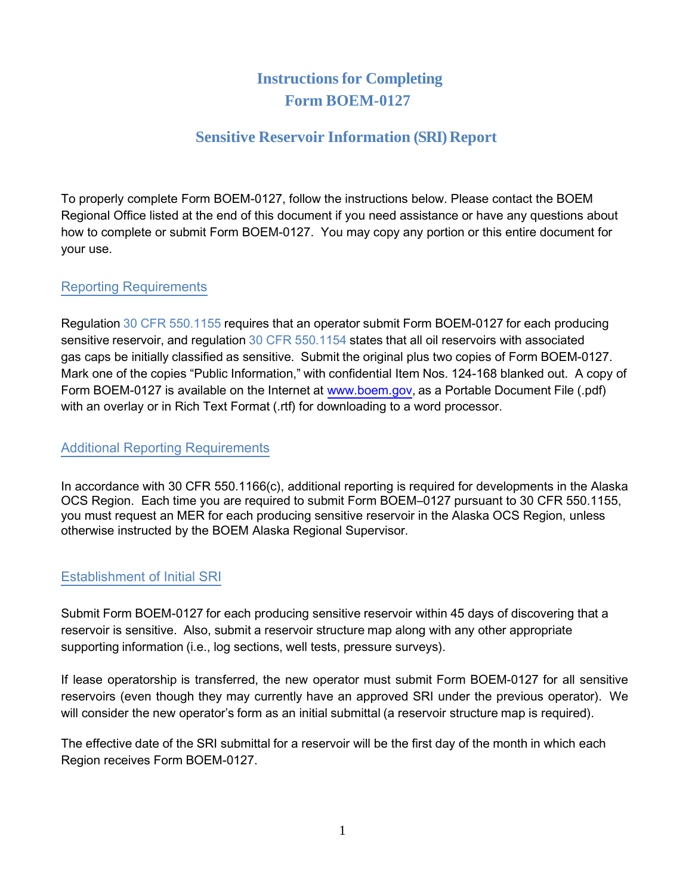# **Instructions for Completing Form BOEM-0127**

## **Sensitive Reservoir Information (SRI) Report**

To properly complete Form BOEM-0127, follow the instructions below. Please contact the BOEM Regional Office listed at the end of this document if you need assistance or have any questions about how to complete or submit Form BOEM-0127. You may copy any portion or this entire document for your use.

## Reporting Requirements

Regulation 30 CFR 550.1155 requires that an operator submit Form BOEM-0127 for each producing sensitive reservoir, and regulation 30 CFR 550.1154 states that all oil reservoirs with associated gas caps be initially classified as sensitive. Submit the original plus two copies of Form BOEM-0127. Mark one of the copies "Public Information," with confidential Item Nos. 124-168 blanked out. A copy of Form BOEM-0127 is available on the Internet at [www.boem.gov,](http://www.boem.gov/) as a Portable Document File (.pdf) with an overlay or in Rich Text Format (.rtf) for downloading to a word processor.

### Additional Reporting Requirements

In accordance with 30 CFR 550.1166(c), additional reporting is required for developments in the Alaska OCS Region. Each time you are required to submit Form BOEM–0127 pursuant to 30 CFR 550.1155, you must request an MER for each producing sensitive reservoir in the Alaska OCS Region, unless otherwise instructed by the BOEM Alaska Regional Supervisor.

## Establishment of Initial SRI

Submit Form BOEM-0127 for each producing sensitive reservoir within 45 days of discovering that a reservoir is sensitive. Also, submit a reservoir structure map along with any other appropriate supporting information (i.e., log sections, well tests, pressure surveys).

If lease operatorship is transferred, the new operator must submit Form BOEM-0127 for all sensitive reservoirs (even though they may currently have an approved SRI under the previous operator). We will consider the new operator's form as an initial submittal (a reservoir structure map is required).

The effective date of the SRI submittal for a reservoir will be the first day of the month in which each Region receives Form BOEM-0127.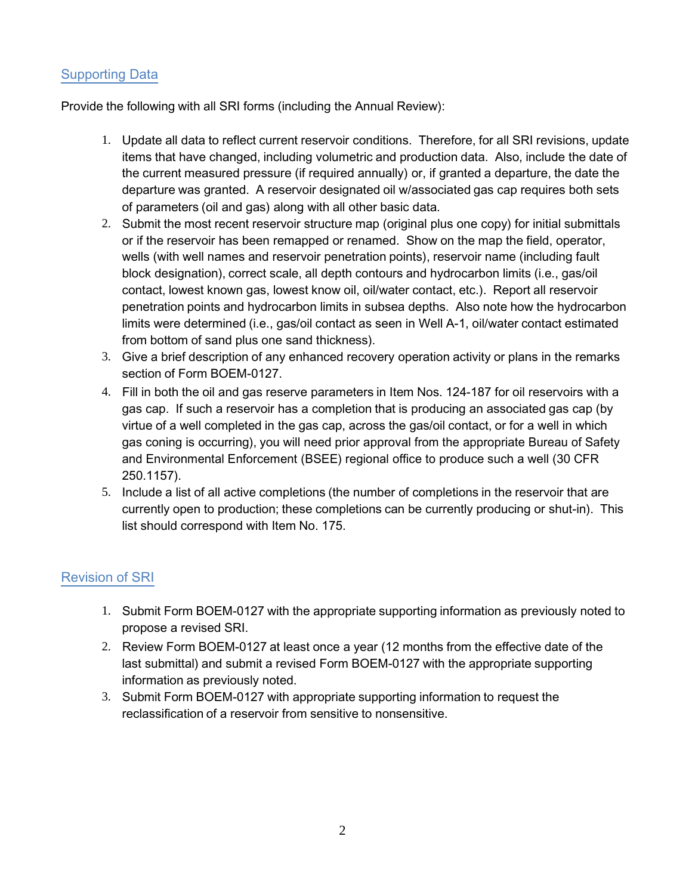## Supporting Data

Provide the following with all SRI forms (including the Annual Review):

- 1. Update all data to reflect current reservoir conditions. Therefore, for all SRI revisions, update items that have changed, including volumetric and production data. Also, include the date of the current measured pressure (if required annually) or, if granted a departure, the date the departure was granted. A reservoir designated oil w/associated gas cap requires both sets of parameters (oil and gas) along with all other basic data.
- 2. Submit the most recent reservoir structure map (original plus one copy) for initial submittals or if the reservoir has been remapped or renamed. Show on the map the field, operator, wells (with well names and reservoir penetration points), reservoir name (including fault block designation), correct scale, all depth contours and hydrocarbon limits (i.e., gas/oil contact, lowest known gas, lowest know oil, oil/water contact, etc.). Report all reservoir penetration points and hydrocarbon limits in subsea depths. Also note how the hydrocarbon limits were determined (i.e., gas/oil contact as seen in Well A-1, oil/water contact estimated from bottom of sand plus one sand thickness).
- 3. Give a brief description of any enhanced recovery operation activity or plans in the remarks section of Form BOEM-0127.
- 4. Fill in both the oil and gas reserve parameters in Item Nos. 124-187 for oil reservoirs with a gas cap. If such a reservoir has a completion that is producing an associated gas cap (by virtue of a well completed in the gas cap, across the gas/oil contact, or for a well in which gas coning is occurring), you will need prior approval from the appropriate Bureau of Safety and Environmental Enforcement (BSEE) regional office to produce such a well (30 CFR 250.1157).
- 5. Include a list of all active completions (the number of completions in the reservoir that are currently open to production; these completions can be currently producing or shut-in). This list should correspond with Item No. 175.

## Revision of SRI

- 1. Submit Form BOEM-0127 with the appropriate supporting information as previously noted to propose a revised SRI.
- 2. Review Form BOEM-0127 at least once a year (12 months from the effective date of the last submittal) and submit a revised Form BOEM-0127 with the appropriate supporting information as previously noted.
- 3. Submit Form BOEM-0127 with appropriate supporting information to request the reclassification of a reservoir from sensitive to nonsensitive.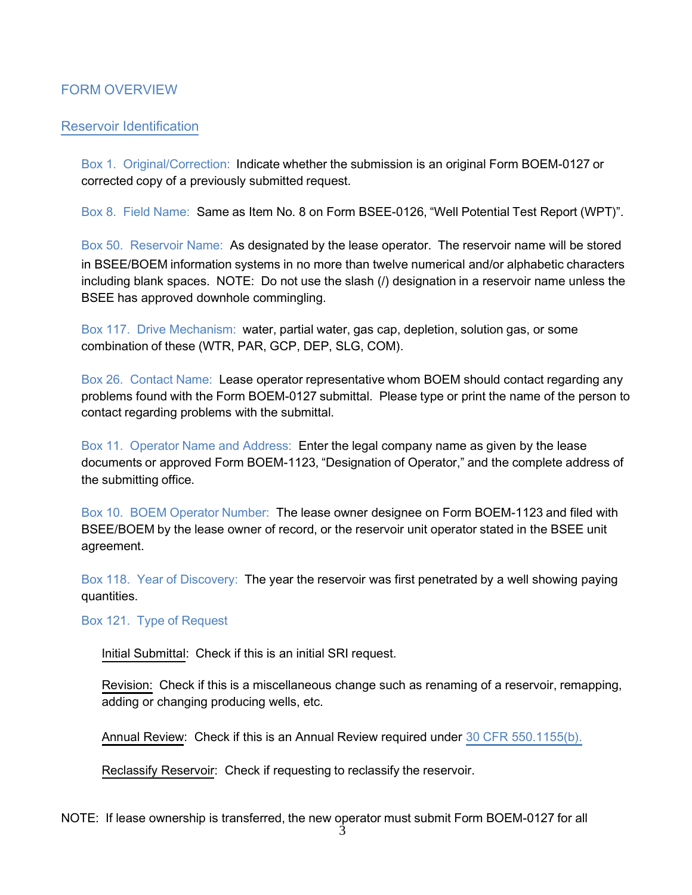### FORM OVERVIEW

#### Reservoir Identification

Box 1. Original/Correction: Indicate whether the submission is an original Form BOEM-0127 or corrected copy of a previously submitted request.

Box 8. Field Name: Same as Item No. 8 on Form BSEE-0126, "Well Potential Test Report (WPT)".

Box 50. Reservoir Name: As designated by the lease operator. The reservoir name will be stored in BSEE/BOEM information systems in no more than twelve numerical and/or alphabetic characters including blank spaces. NOTE: Do not use the slash (/) designation in a reservoir name unless the BSEE has approved downhole commingling.

Box 117. Drive Mechanism: water, partial water, gas cap, depletion, solution gas, or some combination of these (WTR, PAR, GCP, DEP, SLG, COM).

Box 26. Contact Name: Lease operator representative whom BOEM should contact regarding any problems found with the Form BOEM-0127 submittal. Please type or print the name of the person to contact regarding problems with the submittal.

Box 11. Operator Name and Address: Enter the legal company name as given by the lease documents or approved Form BOEM-1123, "Designation of Operator," and the complete address of the submitting office.

Box 10. BOEM Operator Number: The lease owner designee on Form BOEM-1123 and filed with BSEE/BOEM by the lease owner of record, or the reservoir unit operator stated in the BSEE unit agreement.

Box 118. Year of Discovery: The year the reservoir was first penetrated by a well showing paying quantities.

Box 121. Type of Request

Initial Submittal: Check if this is an initial SRI request.

Revision: Check if this is a miscellaneous change such as renaming of a reservoir, remapping, adding or changing producing wells, etc.

Annual Review: Check if this is an Annual Review required under 30 CFR 550.1155(b).

Reclassify Reservoir: Check if requesting to reclassify the reservoir.

NOTE: If lease ownership is transferred, the new operator must submit Form BOEM-0127 for all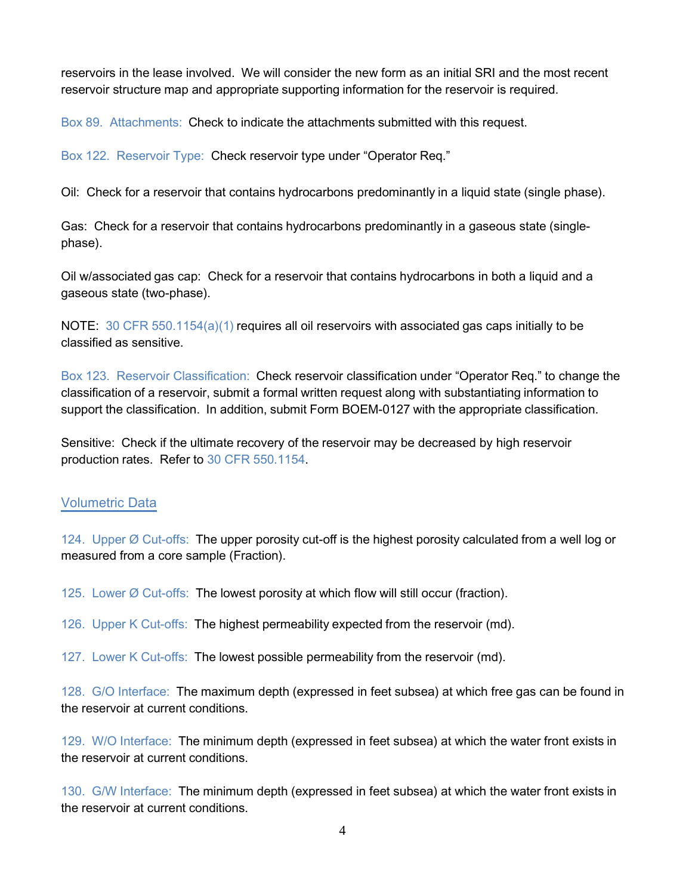reservoirs in the lease involved. We will consider the new form as an initial SRI and the most recent reservoir structure map and appropriate supporting information for the reservoir is required.

Box 89. Attachments: Check to indicate the attachments submitted with this request.

Box 122. Reservoir Type: Check reservoir type under "Operator Req."

Oil: Check for a reservoir that contains hydrocarbons predominantly in a liquid state (single phase).

Gas: Check for a reservoir that contains hydrocarbons predominantly in a gaseous state (singlephase).

Oil w/associated gas cap: Check for a reservoir that contains hydrocarbons in both a liquid and a gaseous state (two-phase).

NOTE: 30 CFR 550.1154(a)(1) requires all oil reservoirs with associated gas caps initially to be classified as sensitive.

Box 123. Reservoir Classification: Check reservoir classification under "Operator Req." to change the classification of a reservoir, submit a formal written request along with substantiating information to support the classification. In addition, submit Form BOEM-0127 with the appropriate classification.

Sensitive: Check if the ultimate recovery of the reservoir may be decreased by high reservoir production rates. Refer to 30 CFR 550.1154.

#### Volumetric Data

124. Upper Ø Cut-offs: The upper porosity cut-off is the highest porosity calculated from a well log or measured from a core sample (Fraction).

125. Lower  $\emptyset$  Cut-offs: The lowest porosity at which flow will still occur (fraction).

126. Upper K Cut-offs: The highest permeability expected from the reservoir (md).

127. Lower K Cut-offs: The lowest possible permeability from the reservoir (md).

128. G/O Interface: The maximum depth (expressed in feet subsea) at which free gas can be found in the reservoir at current conditions.

129. W/O Interface: The minimum depth (expressed in feet subsea) at which the water front exists in the reservoir at current conditions.

130. G/W Interface: The minimum depth (expressed in feet subsea) at which the water front exists in the reservoir at current conditions.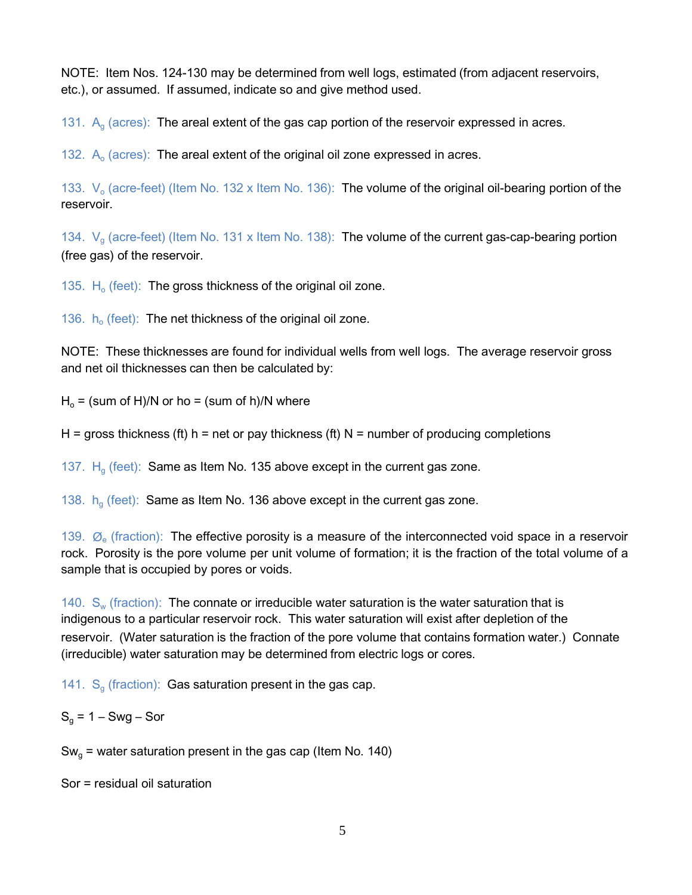NOTE: Item Nos. 124-130 may be determined from well logs, estimated (from adjacent reservoirs, etc.), or assumed. If assumed, indicate so and give method used.

131.  $A<sub>g</sub>$  (acres): The areal extent of the gas cap portion of the reservoir expressed in acres.

132.  $A_0$  (acres): The areal extent of the original oil zone expressed in acres.

133.  $V_0$  (acre-feet) (Item No. 132 x Item No. 136): The volume of the original oil-bearing portion of the reservoir.

134.  $V<sub>g</sub>$  (acre-feet) (Item No. 131 x Item No. 138): The volume of the current gas-cap-bearing portion (free gas) of the reservoir.

135.  $H_0$  (feet): The gross thickness of the original oil zone.

136.  $h_o$  (feet): The net thickness of the original oil zone.

NOTE: These thicknesses are found for individual wells from well logs. The average reservoir gross and net oil thicknesses can then be calculated by:

 $H_0 = (sum of H)/N$  or ho = (sum of h)/N where

H = gross thickness (ft) h = net or pay thickness (ft)  $N =$  number of producing completions

137.  $H<sub>g</sub>$  (feet): Same as Item No. 135 above except in the current gas zone.

138.  $h<sub>g</sub>$  (feet): Same as Item No. 136 above except in the current gas zone.

139.  $\varnothing$  (fraction): The effective porosity is a measure of the interconnected void space in a reservoir rock. Porosity is the pore volume per unit volume of formation; it is the fraction of the total volume of a sample that is occupied by pores or voids.

140.  $S_w$  (fraction): The connate or irreducible water saturation is the water saturation that is indigenous to a particular reservoir rock. This water saturation will exist after depletion of the reservoir. (Water saturation is the fraction of the pore volume that contains formation water.) Connate (irreducible) water saturation may be determined from electric logs or cores.

141.  $S<sub>g</sub>$  (fraction): Gas saturation present in the gas cap.

 $S<sub>a</sub>$  = 1 – Swg – Sor

 $Sw_{g}$  = water saturation present in the gas cap (Item No. 140)

Sor = residual oil saturation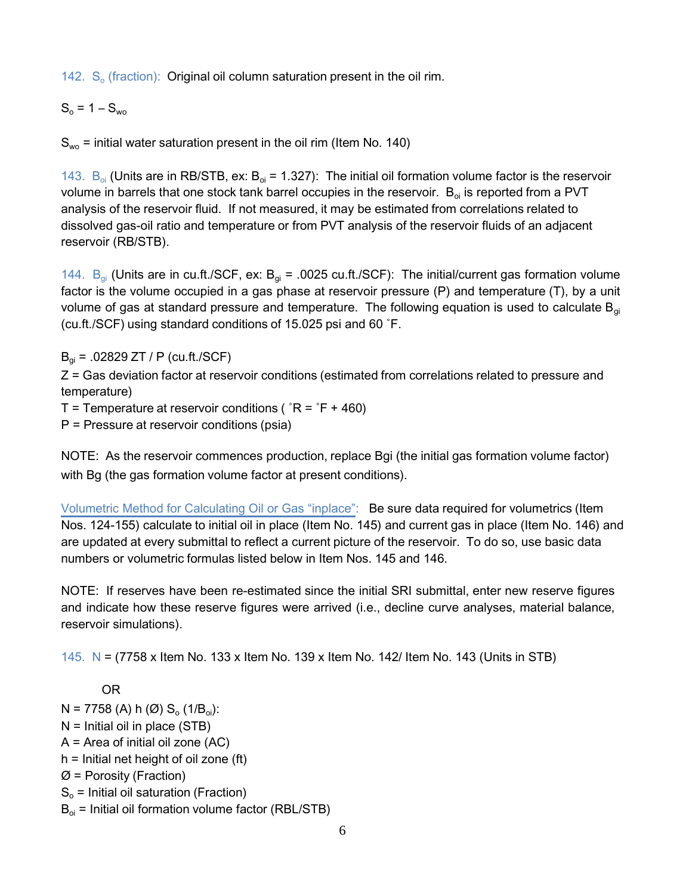142.  $S_0$  (fraction): Original oil column saturation present in the oil rim.

 $S_0 = 1 - S_{wo}$ 

 $S_{wo}$  = initial water saturation present in the oil rim (Item No. 140)

143.  $B_{oi}$  (Units are in RB/STB, ex:  $B_{oi}$  = 1.327): The initial oil formation volume factor is the reservoir volume in barrels that one stock tank barrel occupies in the reservoir.  $B_{0i}$  is reported from a PVT analysis of the reservoir fluid. If not measured, it may be estimated from correlations related to dissolved gas-oil ratio and temperature or from PVT analysis of the reservoir fluids of an adjacent reservoir (RB/STB).

144.  $B_{qi}$  (Units are in cu.ft./SCF, ex:  $B_{qi}$  = .0025 cu.ft./SCF): The initial/current gas formation volume factor is the volume occupied in a gas phase at reservoir pressure (P) and temperature (T), by a unit volume of gas at standard pressure and temperature. The following equation is used to calculate  $B_{gi}$ (cu.ft./SCF) using standard conditions of 15.025 psi and 60 ˚F.

 $B_{qi} = .02829 ZT / P$  (cu.ft./SCF)

Z = Gas deviation factor at reservoir conditions (estimated from correlations related to pressure and temperature)

T = Temperature at reservoir conditions ( $^{\circ}R = ^{\circ}F + 460$ )

P = Pressure at reservoir conditions (psia)

NOTE: As the reservoir commences production, replace Bgi (the initial gas formation volume factor) with Bg (the gas formation volume factor at present conditions).

Volumetric Method for Calculating Oil or Gas "inplace": Be sure data required for volumetrics (Item Nos. 124-155) calculate to initial oil in place (Item No. 145) and current gas in place (Item No. 146) and are updated at every submittal to reflect a current picture of the reservoir. To do so, use basic data numbers or volumetric formulas listed below in Item Nos. 145 and 146.

NOTE: If reserves have been re-estimated since the initial SRI submittal, enter new reserve figures and indicate how these reserve figures were arrived (i.e., decline curve analyses, material balance, reservoir simulations).

145. N = (7758 x Item No. 133 x Item No. 139 x Item No. 142/ Item No. 143 (Units in STB)

OR

 $N = 7758$  (A) h (Ø) S<sub>o</sub> (1/B<sub>oi</sub>): N = Initial oil in place (STB) A = Area of initial oil zone (AC)  $h =$  Initial net height of oil zone (ft)  $Ø =$  Porosity (Fraction)

 $S<sub>o</sub>$  = Initial oil saturation (Fraction)

 $B_{oi}$  = Initial oil formation volume factor (RBL/STB)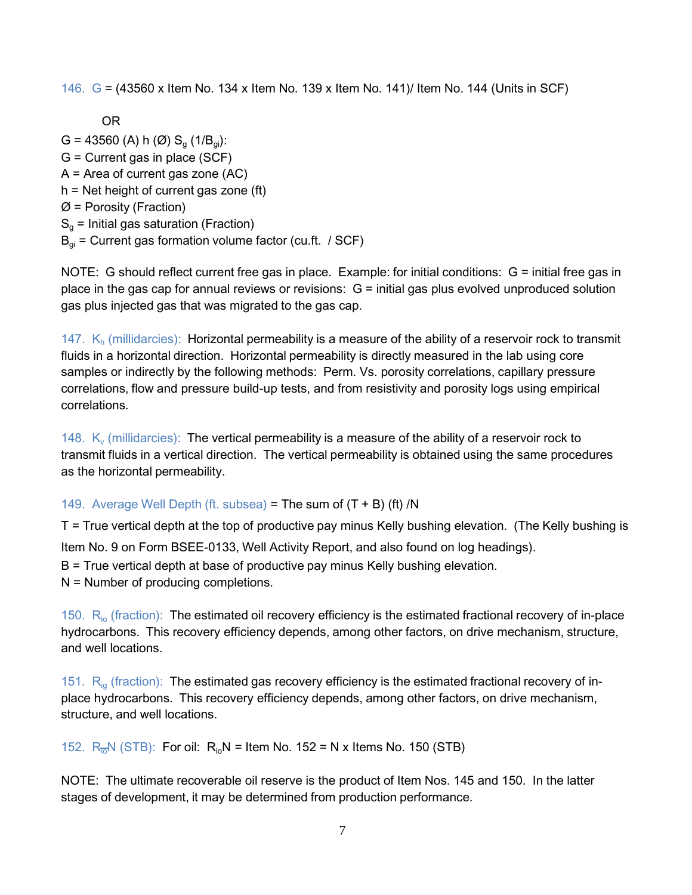146. G = (43560 x Item No. 134 x Item No. 139 x Item No. 141)/ Item No. 144 (Units in SCF)

OR

G = 43560 (A) h (Ø)  $S_{q}$  (1/ $B_{qi}$ ): G = Current gas in place (SCF) A = Area of current gas zone (AC) h = Net height of current gas zone (ft)  $Ø =$  Porosity (Fraction)  $S_q$  = Initial gas saturation (Fraction)  $B_{qi}$  = Current gas formation volume factor (cu.ft. / SCF)

NOTE: G should reflect current free gas in place. Example: for initial conditions: G = initial free gas in place in the gas cap for annual reviews or revisions:  $G =$  initial gas plus evolved unproduced solution gas plus injected gas that was migrated to the gas cap.

147.  $K_h$  (millidarcies): Horizontal permeability is a measure of the ability of a reservoir rock to transmit fluids in a horizontal direction. Horizontal permeability is directly measured in the lab using core samples or indirectly by the following methods: Perm. Vs. porosity correlations, capillary pressure correlations, flow and pressure build-up tests, and from resistivity and porosity logs using empirical correlations.

148.  $K_v$  (millidarcies): The vertical permeability is a measure of the ability of a reservoir rock to transmit fluids in a vertical direction. The vertical permeability is obtained using the same procedures as the horizontal permeability.

### 149. Average Well Depth (ft. subsea) = The sum of  $(T + B)$  (ft) /N

T = True vertical depth at the top of productive pay minus Kelly bushing elevation. (The Kelly bushing is Item No. 9 on Form BSEE-0133, Well Activity Report, and also found on log headings). B = True vertical depth at base of productive pay minus Kelly bushing elevation. N = Number of producing completions.

150. R<sub>io</sub> (fraction): The estimated oil recovery efficiency is the estimated fractional recovery of in-place hydrocarbons. This recovery efficiency depends, among other factors, on drive mechanism, structure, and well locations.

151.  $R_{ig}$  (fraction): The estimated gas recovery efficiency is the estimated fractional recovery of inplace hydrocarbons. This recovery efficiency depends, among other factors, on drive mechanism, structure, and well locations.

152.  $R_{\overline{10}}N$  (STB): For oil:  $R_{\overline{10}}N =$  Item No. 152 = N x Items No. 150 (STB)

NOTE: The ultimate recoverable oil reserve is the product of Item Nos. 145 and 150. In the latter stages of development, it may be determined from production performance.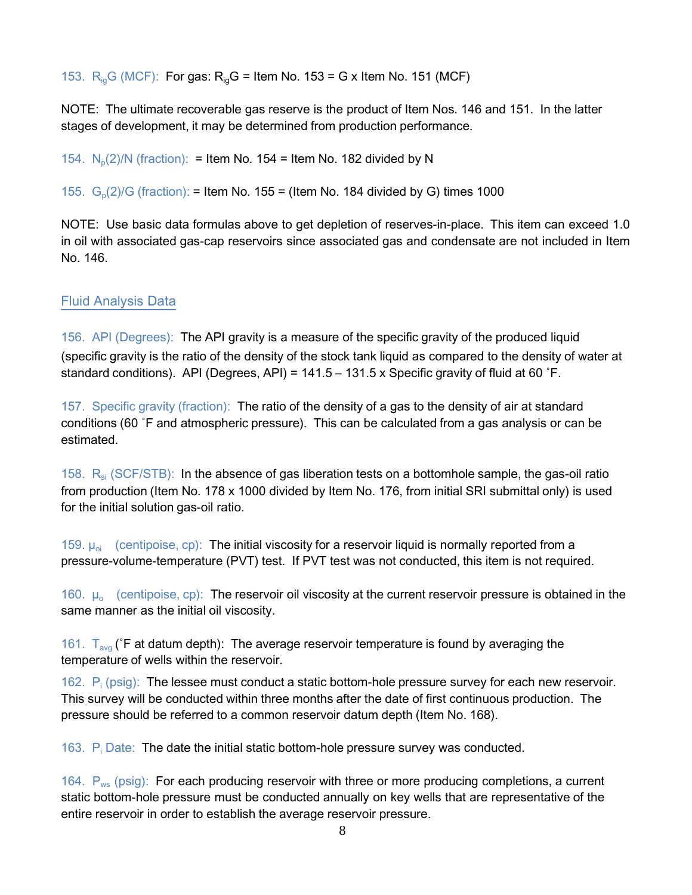153.  $R_{ia}$ G (MCF): For gas:  $R_{ia}$ G = Item No. 153 = G x Item No. 151 (MCF)

NOTE: The ultimate recoverable gas reserve is the product of Item Nos. 146 and 151. In the latter stages of development, it may be determined from production performance.

154.  $N_p(2)/N$  (fraction): = Item No. 154 = Item No. 182 divided by N

155.  $G_p(2)/G$  (fraction): = Item No. 155 = (Item No. 184 divided by G) times 1000

NOTE: Use basic data formulas above to get depletion of reserves-in-place. This item can exceed 1.0 in oil with associated gas-cap reservoirs since associated gas and condensate are not included in Item No. 146.

#### Fluid Analysis Data

156. API (Degrees): The API gravity is a measure of the specific gravity of the produced liquid (specific gravity is the ratio of the density of the stock tank liquid as compared to the density of water at standard conditions). API (Degrees, API) = 141.5 – 131.5 x Specific gravity of fluid at 60 ˚F.

157. Specific gravity (fraction): The ratio of the density of a gas to the density of air at standard conditions (60 ˚F and atmospheric pressure). This can be calculated from a gas analysis or can be estimated.

158.  $R_{si}$  (SCF/STB): In the absence of gas liberation tests on a bottomhole sample, the gas-oil ratio from production (Item No. 178 x 1000 divided by Item No. 176, from initial SRI submittal only) is used for the initial solution gas-oil ratio.

159.  $\mu_{oi}$  (centipoise, cp): The initial viscosity for a reservoir liquid is normally reported from a pressure-volume-temperature (PVT) test. If PVT test was not conducted, this item is not required.

160.  $\mu_o$  (centipoise, cp): The reservoir oil viscosity at the current reservoir pressure is obtained in the same manner as the initial oil viscosity.

161.  $T_{avg}$  ( $F$  at datum depth): The average reservoir temperature is found by averaging the temperature of wells within the reservoir.

162.  $P_i$  (psig): The lessee must conduct a static bottom-hole pressure survey for each new reservoir. This survey will be conducted within three months after the date of first continuous production. The pressure should be referred to a common reservoir datum depth (Item No. 168).

163. P<sup>i</sup> Date: The date the initial static bottom-hole pressure survey was conducted.

164.  $P_{ws}$  (psig): For each producing reservoir with three or more producing completions, a current static bottom-hole pressure must be conducted annually on key wells that are representative of the entire reservoir in order to establish the average reservoir pressure.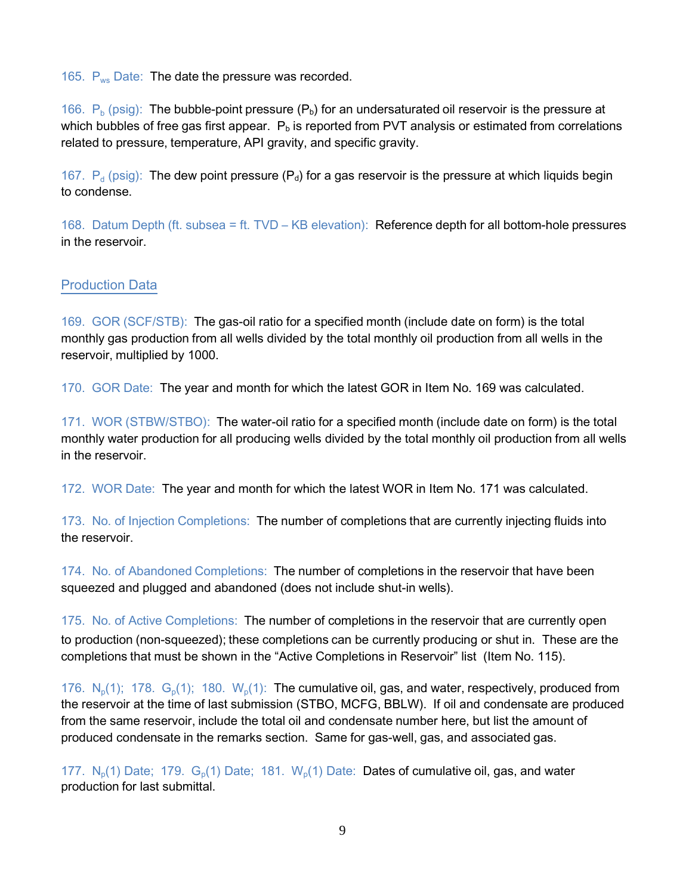165.  $P_{ws}$  Date: The date the pressure was recorded.

166.  $P_b$  (psig): The bubble-point pressure ( $P_b$ ) for an undersaturated oil reservoir is the pressure at which bubbles of free gas first appear.  $P_b$  is reported from PVT analysis or estimated from correlations related to pressure, temperature, API gravity, and specific gravity.

167.  $P_d$  (psig): The dew point pressure ( $P_d$ ) for a gas reservoir is the pressure at which liquids begin to condense.

168. Datum Depth (ft. subsea = ft. TVD – KB elevation): Reference depth for all bottom-hole pressures in the reservoir.

### Production Data

169. GOR (SCF/STB): The gas-oil ratio for a specified month (include date on form) is the total monthly gas production from all wells divided by the total monthly oil production from all wells in the reservoir, multiplied by 1000.

170. GOR Date: The year and month for which the latest GOR in Item No. 169 was calculated.

171. WOR (STBW/STBO): The water-oil ratio for a specified month (include date on form) is the total monthly water production for all producing wells divided by the total monthly oil production from all wells in the reservoir.

172. WOR Date: The year and month for which the latest WOR in Item No. 171 was calculated.

173. No. of Injection Completions: The number of completions that are currently injecting fluids into the reservoir.

174. No. of Abandoned Completions: The number of completions in the reservoir that have been squeezed and plugged and abandoned (does not include shut-in wells).

175. No. of Active Completions: The number of completions in the reservoir that are currently open to production (non-squeezed); these completions can be currently producing or shut in. These are the completions that must be shown in the "Active Completions in Reservoir" list (Item No. 115).

176.  $N_p(1)$ ; 178.  $G_p(1)$ ; 180.  $W_p(1)$ : The cumulative oil, gas, and water, respectively, produced from the reservoir at the time of last submission (STBO, MCFG, BBLW). If oil and condensate are produced from the same reservoir, include the total oil and condensate number here, but list the amount of produced condensate in the remarks section. Same for gas-well, gas, and associated gas.

177.  $N_p(1)$  Date; 179.  $G_p(1)$  Date; 181.  $W_p(1)$  Date: Dates of cumulative oil, gas, and water production for last submittal.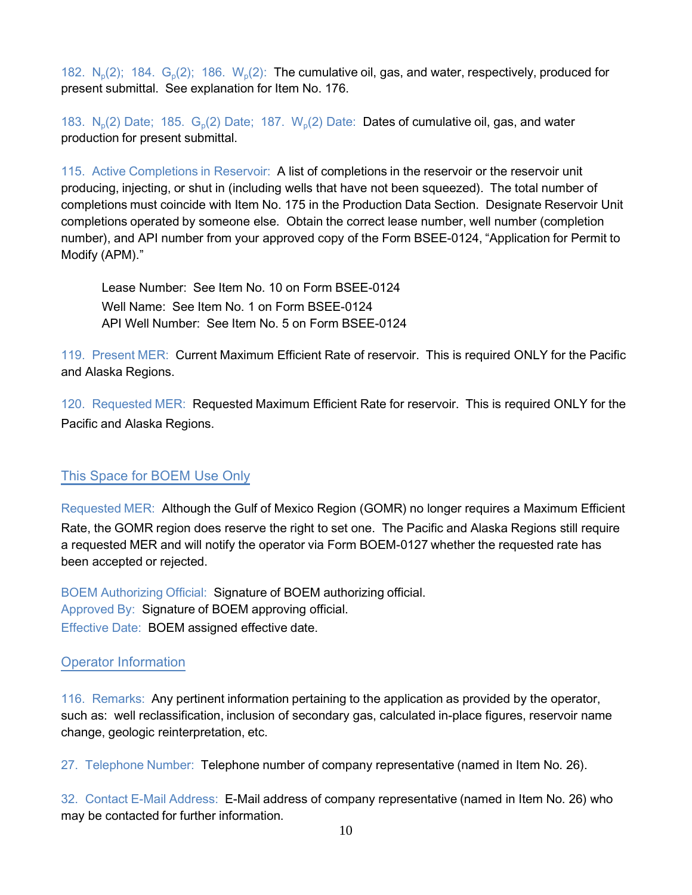182.  $N_p(2)$ ; 184.  $G_p(2)$ ; 186.  $W_p(2)$ : The cumulative oil, gas, and water, respectively, produced for present submittal. See explanation for Item No. 176.

183.  $N_p(2)$  Date; 185.  $G_p(2)$  Date; 187.  $W_p(2)$  Date: Dates of cumulative oil, gas, and water production for present submittal.

115. Active Completions in Reservoir: A list of completions in the reservoir or the reservoir unit producing, injecting, or shut in (including wells that have not been squeezed). The total number of completions must coincide with Item No. 175 in the Production Data Section. Designate Reservoir Unit completions operated by someone else. Obtain the correct lease number, well number (completion number), and API number from your approved copy of the Form BSEE-0124, "Application for Permit to Modify (APM)."

Lease Number: See Item No. 10 on Form BSEE-0124 Well Name: See Item No. 1 on Form BSEE-0124 API Well Number: See Item No. 5 on Form BSEE-0124

119. Present MER: Current Maximum Efficient Rate of reservoir. This is required ONLY for the Pacific and Alaska Regions.

120. Requested MER: Requested Maximum Efficient Rate for reservoir. This is required ONLY for the Pacific and Alaska Regions.

### This Space for BOEM Use Only

Requested MER: Although the Gulf of Mexico Region (GOMR) no longer requires a Maximum Efficient Rate, the GOMR region does reserve the right to set one. The Pacific and Alaska Regions still require a requested MER and will notify the operator via Form BOEM-0127 whether the requested rate has been accepted or rejected.

BOEM Authorizing Official: Signature of BOEM authorizing official. Approved By: Signature of BOEM approving official. Effective Date: BOEM assigned effective date.

### Operator Information

116. Remarks: Any pertinent information pertaining to the application as provided by the operator, such as: well reclassification, inclusion of secondary gas, calculated in-place figures, reservoir name change, geologic reinterpretation, etc.

27. Telephone Number: Telephone number of company representative (named in Item No. 26).

32. Contact E-Mail Address: E-Mail address of company representative (named in Item No. 26) who may be contacted for further information.